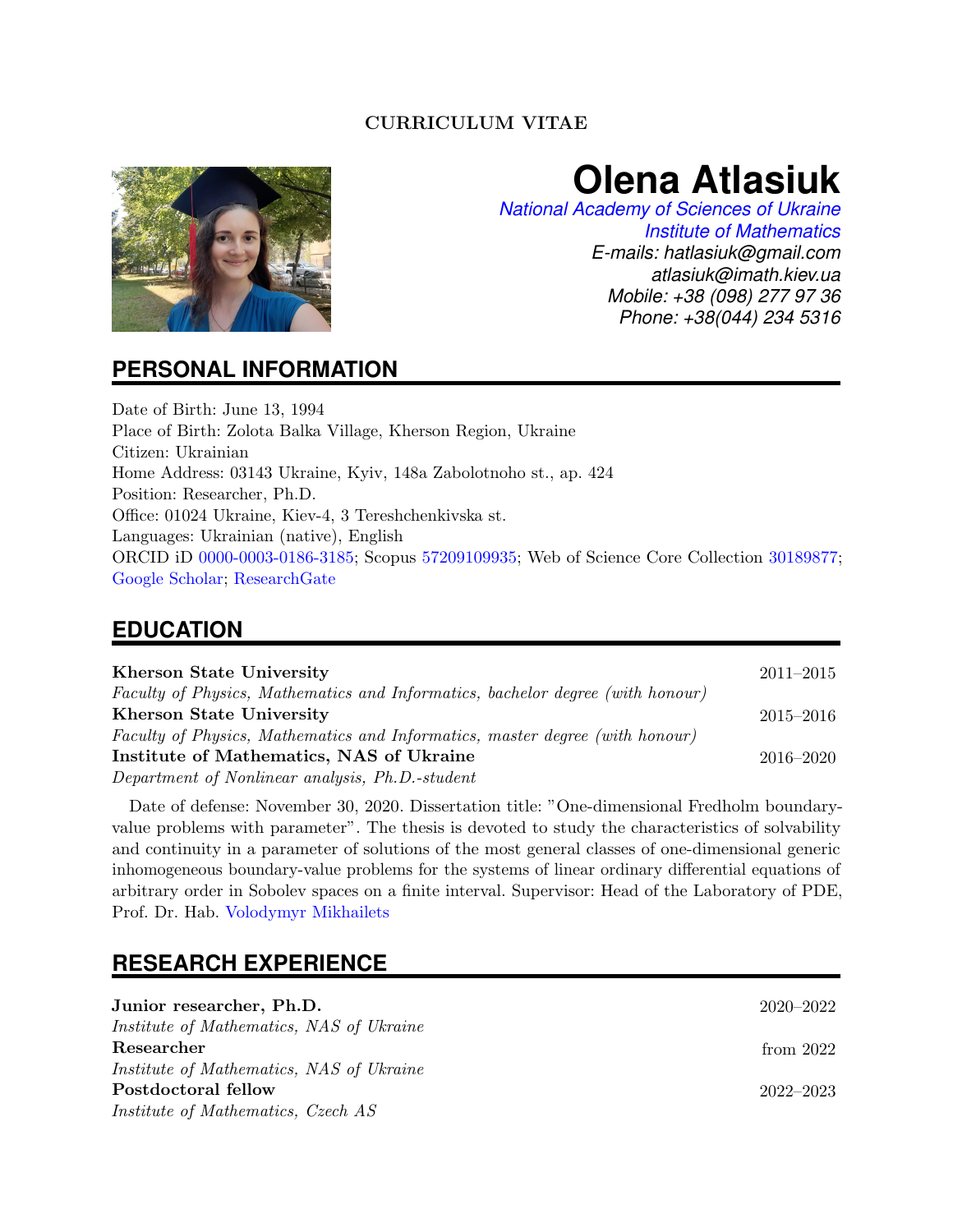### CURRICULUM VITAE



# **Olena Atlasiuk**

*[National Academy of Sciences of Ukraine](https://www.nas.gov.ua/EN/PersonalSite/Pages/default.aspx?PersonID=0000029006) [Institute of Mathematics](https://www.imath.kiev.ua/people/profile.php?pid=452&lang=en) E-mails: hatlasiuk@gmail.com atlasiuk@imath.kiev.ua Mobile: +38 (098) 277 97 36 Phone: +38(044) 234 5316*

### **PERSONAL INFORMATION**

Date of Birth: June 13, 1994 Place of Birth: Zolota Balka Village, Kherson Region, Ukraine Citizen: Ukrainian Home Address: 03143 Ukraine, Kyiv, 148a Zabolotnoho st., ap. 424 Position: Researcher, Ph.D. Office: 01024 Ukraine, Kiev-4, 3 Tereshchenkivska st. Languages: Ukrainian (native), English ORCID iD [0000-0003-0186-3185;](https://orcid.org/my-orcid) Scopus [57209109935;](https://www.scopus.com/authid/detail.uri?authorId=57209109935) Web of Science Core Collection [30189877;](https://www.webofscience.com/wos/author/record/30189877) [Google Scholar;](https://scholar.google.com.ua/citations?hl=uk&user=3_36uu0AAAAJ) [ResearchGate](https://www.researchgate.net/profile/Olena-Atlasiuk)

# **EDUCATION**

| <b>Kherson State University</b>                                                | $2011 - 2015$ |
|--------------------------------------------------------------------------------|---------------|
| Faculty of Physics, Mathematics and Informatics, bachelor degree (with honour) |               |
| <b>Kherson State University</b>                                                | $2015 - 2016$ |
| Faculty of Physics, Mathematics and Informatics, master degree (with honour)   |               |
| Institute of Mathematics, NAS of Ukraine                                       | $2016 - 2020$ |
| Department of Nonlinear analysis, Ph.D.-student                                |               |

Date of defense: November 30, 2020. Dissertation title: "One-dimensional Fredholm boundaryvalue problems with parameter". The thesis is devoted to study the characteristics of solvability and continuity in a parameter of solutions of the most general classes of one-dimensional generic inhomogeneous boundary-value problems for the systems of linear ordinary differential equations of arbitrary order in Sobolev spaces on a finite interval. Supervisor: Head of the Laboratory of PDE, Prof. Dr. Hab. [Volodymyr Mikhailets](https://scholar.google.com.ua/citations?user=vylR3DsAAAAJ&hl=uk&oi=sra)

# **RESEARCH EXPERIENCE**

| Junior researcher, Ph.D.                        | $2020 - 2022$ |
|-------------------------------------------------|---------------|
| <i>Institute of Mathematics, NAS of Ukraine</i> |               |
| Researcher                                      | from $2022$   |
| <i>Institute of Mathematics, NAS of Ukraine</i> |               |
| Postdoctoral fellow                             | $2022 - 2023$ |
| Institute of Mathematics, Czech AS              |               |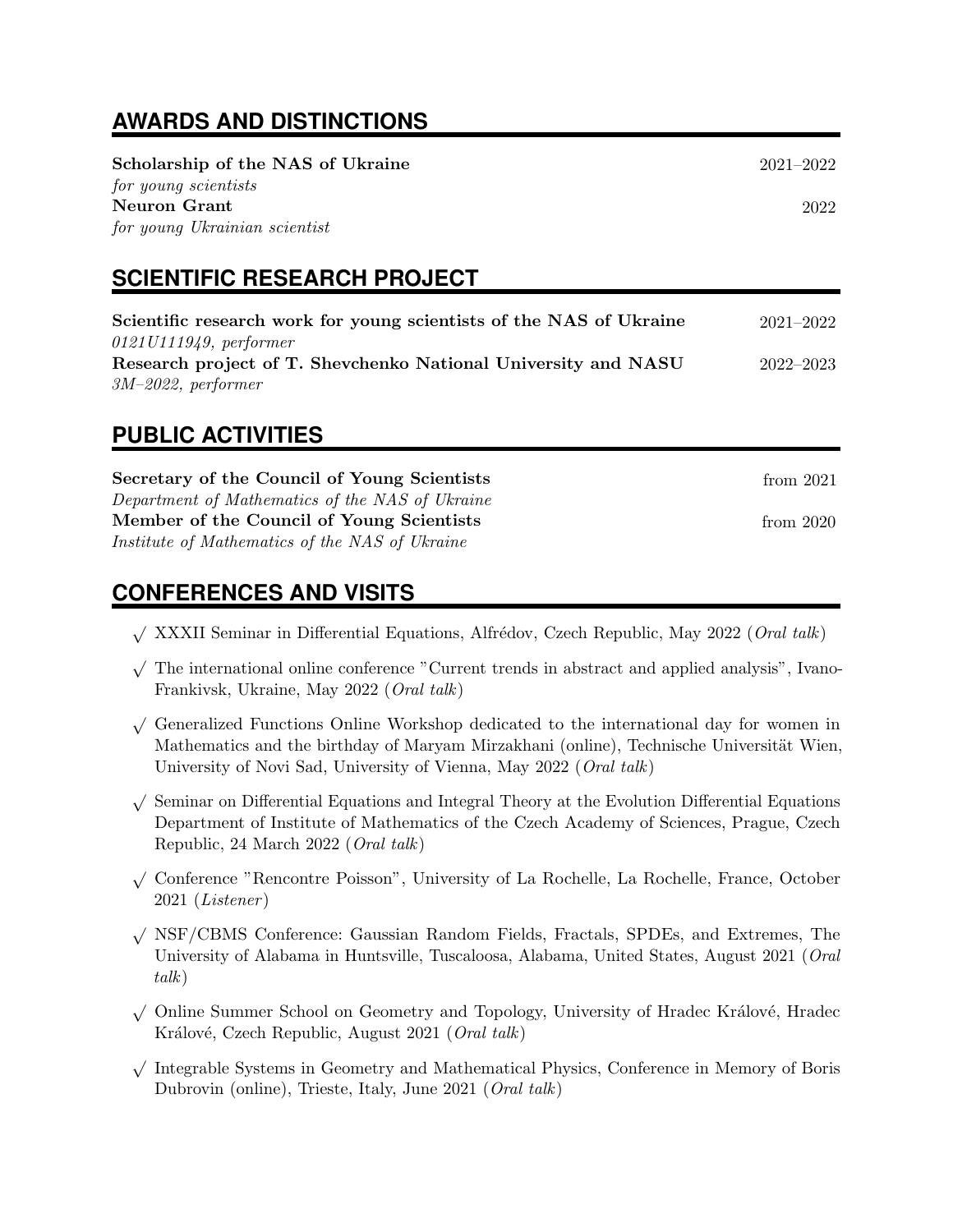# **AWARDS AND DISTINCTIONS**

| Scholarship of the NAS of Ukraine<br>for young scientists<br>Neuron Grant<br>for young Ukrainian scientist | $2021 - 2022$<br>2022 |
|------------------------------------------------------------------------------------------------------------|-----------------------|
| <b>SCIENTIFIC RESEARCH PROJECT</b>                                                                         |                       |
| Scientific research work for young scientists of the NAS of Ukraine<br>$0121U111949$ , performer           | $2021 - 2022$         |
| Research project of T. Shevchenko National University and NASU<br>$3M-2022$ , performer                    | $2022 - 2023$         |
|                                                                                                            |                       |

# **PUBLIC ACTIVITIES**

| Secretary of the Council of Young Scientists    | from 2021   |
|-------------------------------------------------|-------------|
| Department of Mathematics of the NAS of Ukraine |             |
| Member of the Council of Young Scientists       | from $2020$ |
| Institute of Mathematics of the NAS of Ukraine  |             |

# **CONFERENCES AND VISITS**

- $\sqrt{$  XXXII Seminar in Differential Equations, Alfrédov, Czech Republic, May 2022 (*Oral talk*)
- √ The international online conference "Current trends in abstract and applied analysis", Ivano-Frankivsk, Ukraine, May 2022 (Oral talk)
- √ Generalized Functions Online Workshop dedicated to the international day for women in Mathematics and the birthday of Maryam Mirzakhani (online), Technische Universität Wien, University of Novi Sad, University of Vienna, May 2022 (Oral talk)
- √ Seminar on Differential Equations and Integral Theory at the Evolution Differential Equations Department of Institute of Mathematics of the Czech Academy of Sciences, Prague, Czech Republic, 24 March 2022 (Oral talk)
- √ Conference "Rencontre Poisson", University of La Rochelle, La Rochelle, France, October 2021 (Listener )
- √ NSF/CBMS Conference: Gaussian Random Fields, Fractals, SPDEs, and Extremes, The University of Alabama in Huntsville, Tuscaloosa, Alabama, United States, August 2021 (Oral talk)
- √ Online Summer School on Geometry and Topology, University of Hradec Králové, Hradec Králové, Czech Republic, August 2021 (Oral talk)
- √ Integrable Systems in Geometry and Mathematical Physics, Conference in Memory of Boris Dubrovin (online), Trieste, Italy, June 2021 (Oral talk)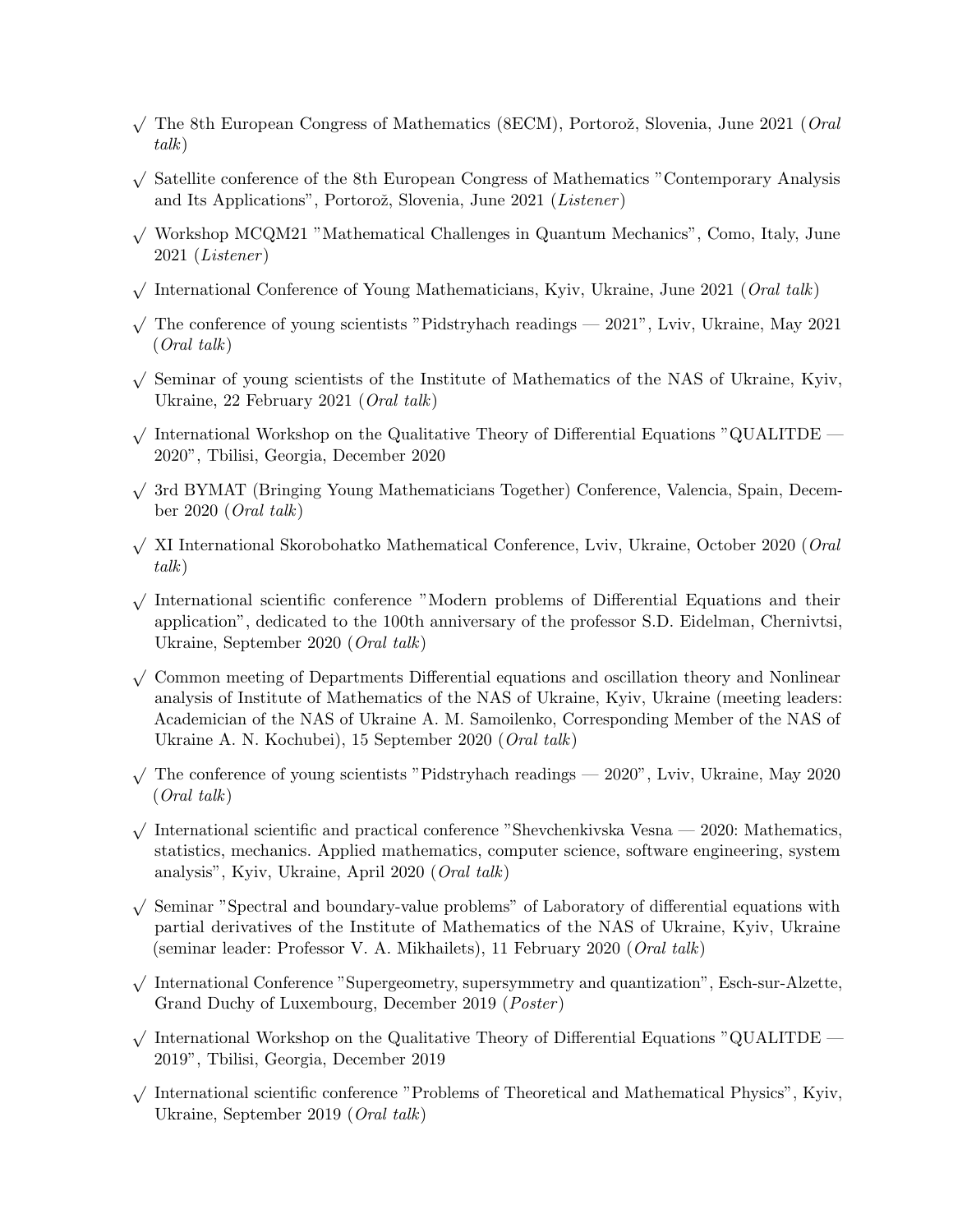- $\sqrt{\ }$  The 8th European Congress of Mathematics (8ECM), Portorož, Slovenia, June 2021 (*Oral* talk)
- √ Satellite conference of the 8th European Congress of Mathematics "Contemporary Analysis and Its Applications", Portorož, Slovenia, June 2021 (*Listener*)
- <sup>√</sup> Workshop MCQM21 "Mathematical Challenges in Quantum Mechanics", Como, Italy, June 2021 (Listener )
- $\sqrt{\frac{1}{\text{International Conference of Young Mathematics}}$ , Kyiv, Ukraine, June 2021 (*Oral talk*)
- √ The conference of young scientists "Pidstryhach readings 2021", Lviv, Ukraine, May 2021 (Oral talk)
- √ Seminar of young scientists of the Institute of Mathematics of the NAS of Ukraine, Kyiv, Ukraine, 22 February 2021 (Oral talk)
- $\sqrt{\ }$  International Workshop on the Qualitative Theory of Differential Equations "QUALITDE 2020", Tbilisi, Georgia, December 2020
- √ 3rd BYMAT (Bringing Young Mathematicians Together) Conference, Valencia, Spain, December 2020 (Oral talk)
- $\sqrt{X}$  XI International Skorobohatko Mathematical Conference, Lviv, Ukraine, October 2020 (*Oral* talk)
- √ International scientific conference "Modern problems of Differential Equations and their application", dedicated to the 100th anniversary of the professor S.D. Eidelman, Chernivtsi, Ukraine, September 2020 (Oral talk)
- √ Common meeting of Departments Differential equations and oscillation theory and Nonlinear analysis of Institute of Mathematics of the NAS of Ukraine, Kyiv, Ukraine (meeting leaders: Academician of the NAS of Ukraine A. M. Samoilenko, Corresponding Member of the NAS of Ukraine A. N. Kochubei), 15 September 2020 (Oral talk)
- √ The conference of young scientists "Pidstryhach readings 2020", Lviv, Ukraine, May 2020 (Oral talk)
- $\sqrt{\ }$  International scientific and practical conference "Shevchenkivska Vesna 2020: Mathematics, statistics, mechanics. Applied mathematics, computer science, software engineering, system analysis", Kyiv, Ukraine, April 2020 (Oral talk)
- √ Seminar "Spectral and boundary-value problems" of Laboratory of differential equations with partial derivatives of the Institute of Mathematics of the NAS of Ukraine, Kyiv, Ukraine (seminar leader: Professor V. A. Mikhailets), 11 February 2020 (Oral talk)
- √ International Conference "Supergeometry, supersymmetry and quantization", Esch-sur-Alzette, Grand Duchy of Luxembourg, December 2019 (Poster )
- $\sqrt{\ }$  International Workshop on the Qualitative Theory of Differential Equations "QUALITDE 2019", Tbilisi, Georgia, December 2019
- √ International scientific conference "Problems of Theoretical and Mathematical Physics", Kyiv, Ukraine, September 2019 (Oral talk)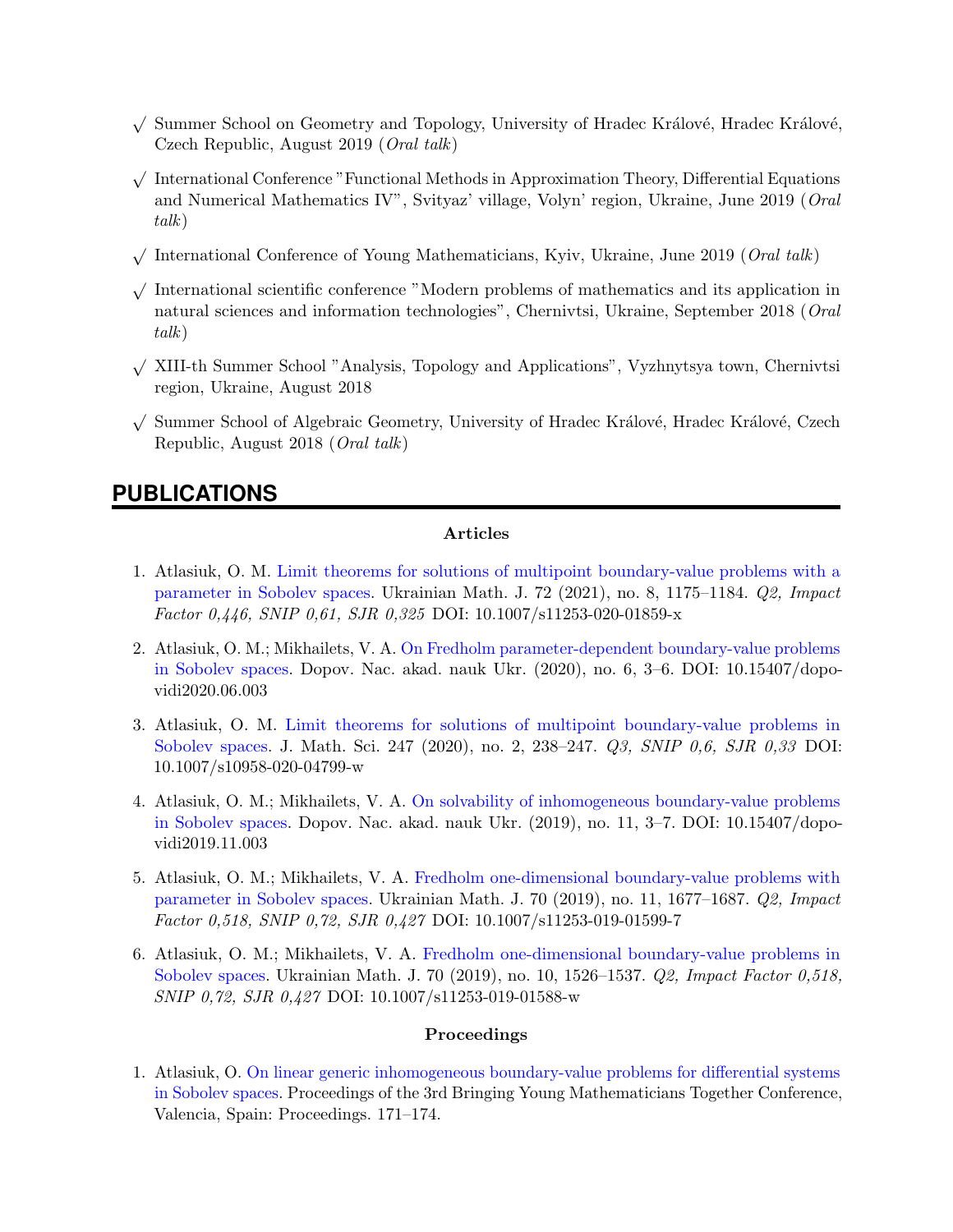- √ Summer School on Geometry and Topology, University of Hradec Králové, Hradec Králové, Czech Republic, August 2019 (Oral talk)
- √ International Conference "Functional Methods in Approximation Theory, Differential Equations and Numerical Mathematics IV", Svityaz' village, Volyn' region, Ukraine, June 2019 (Oral talk)
- $\sqrt{\frac{1}{\text{International Conference of Young Mathematics}}$ , Kyiv, Ukraine, June 2019 (*Oral talk*)
- √ International scientific conference "Modern problems of mathematics and its application in natural sciences and information technologies", Chernivtsi, Ukraine, September 2018 (Oral talk)
- √ XIII-th Summer School "Analysis, Topology and Applications", Vyzhnytsya town, Chernivtsi region, Ukraine, August 2018
- √ Summer School of Algebraic Geometry, University of Hradec Králové, Hradec Králové, Czech Republic, August 2018 (Oral talk)

### **PUBLICATIONS**

#### Articles

- 1. Atlasiuk, O. M. [Limit theorems for solutions of multipoint boundary-value problems with a](https://link.springer.com/article/10.1007/s11253-020-01859-x) [parameter in Sobolev spaces.](https://link.springer.com/article/10.1007/s11253-020-01859-x) Ukrainian Math. J. 72 (2021), no. 8, 1175–1184. Q2, Impact Factor 0,446, SNIP 0,61, SJR 0,325 DOI: 10.1007/s11253-020-01859-x
- 2. Atlasiuk, O. M.; Mikhailets, V. A. [On Fredholm parameter-dependent boundary-value problems](https://doi.org/10.15407/dopovidi2020.06.003) [in Sobolev spaces.](https://doi.org/10.15407/dopovidi2020.06.003) Dopov. Nac. akad. nauk Ukr. (2020), no. 6, 3–6. DOI: 10.15407/dopovidi2020.06.003
- 3. Atlasiuk, O. M. [Limit theorems for solutions of multipoint boundary-value problems in](https://link.springer.com/article/10.1007/s10958-020-04799-w) [Sobolev spaces.](https://link.springer.com/article/10.1007/s10958-020-04799-w) J. Math. Sci. 247 (2020), no. 2, 238-247. Q3, SNIP 0,6, SJR 0,33 DOI: 10.1007/s10958-020-04799-w
- 4. Atlasiuk, O. M.; Mikhailets, V. A. [On solvability of inhomogeneous boundary-value problems](http://dopovidi-nanu.org.ua/en/archive/2019/11/1) [in Sobolev spaces.](http://dopovidi-nanu.org.ua/en/archive/2019/11/1) Dopov. Nac. akad. nauk Ukr. (2019), no. 11, 3–7. DOI: 10.15407/dopovidi2019.11.003
- 5. Atlasiuk, O. M.; Mikhailets, V. A. [Fredholm one-dimensional boundary-value problems with](https://link.springer.com/article/10.1007/s11253-019-01599-7) [parameter in Sobolev spaces.](https://link.springer.com/article/10.1007/s11253-019-01599-7) Ukrainian Math. J. 70 (2019), no. 11, 1677–1687. Q2, Impact Factor 0,518, SNIP 0,72, SJR 0,427 DOI: 10.1007/s11253-019-01599-7
- 6. Atlasiuk, O. M.; Mikhailets, V. A. [Fredholm one-dimensional boundary-value problems in](https://link.springer.com/article/10.1007/s11253-019-01588-w) [Sobolev spaces.](https://link.springer.com/article/10.1007/s11253-019-01588-w) Ukrainian Math. J. 70 (2019), no. 10, 1526–1537. Q2, Impact Factor 0,518, SNIP 0,72, SJR 0,427 DOI: 10.1007/s11253-019-01588-w

#### Proceedings

1. Atlasiuk, O. [On linear generic inhomogeneous boundary-value problems for differential systems](https://temat.es/monograficos/article/view/vol2-p171/vol2-p171-pdf) [in Sobolev spaces.](https://temat.es/monograficos/article/view/vol2-p171/vol2-p171-pdf) Proceedings of the 3rd Bringing Young Mathematicians Together Conference, Valencia, Spain: Proceedings. 171–174.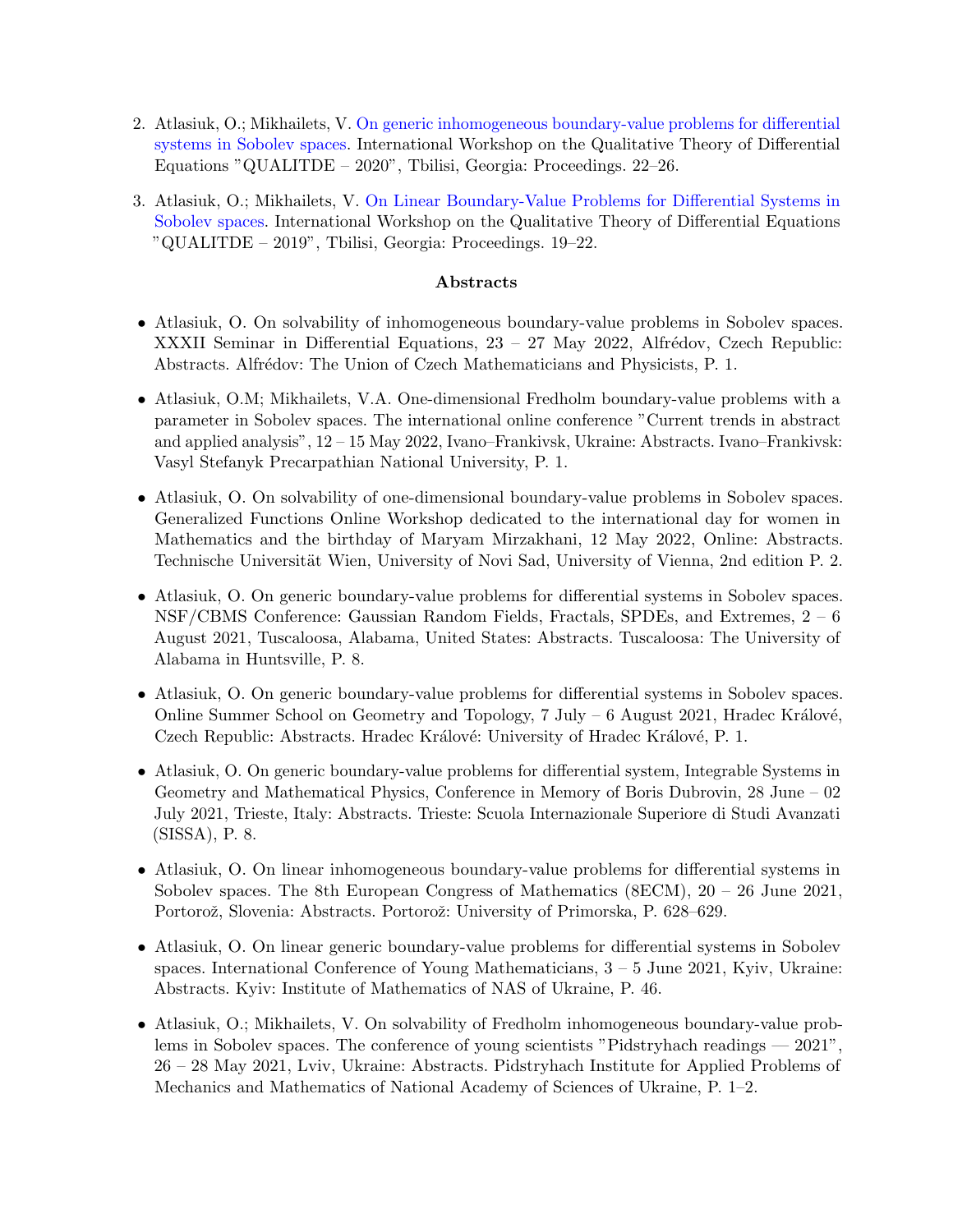- 2. Atlasiuk, O.; Mikhailets, V. [On generic inhomogeneous boundary-value problems for differential](http://www.rmi.ge/eng/QUALITDE-2020/Atlasiuk_Mikhailets_workshop_2020.pdf) [systems in Sobolev spaces.](http://www.rmi.ge/eng/QUALITDE-2020/Atlasiuk_Mikhailets_workshop_2020.pdf) International Workshop on the Qualitative Theory of Differential Equations "QUALITDE – 2020", Tbilisi, Georgia: Proceedings. 22–26.
- 3. Atlasiuk, O.; Mikhailets, V. [On Linear Boundary-Value Problems for Differential Systems in](http://rmi.tsu.ge/eng/QUALITDE-2019/Atlasiuk_Mikhailets_workshop_2019.pdf) [Sobolev spaces.](http://rmi.tsu.ge/eng/QUALITDE-2019/Atlasiuk_Mikhailets_workshop_2019.pdf) International Workshop on the Qualitative Theory of Differential Equations "QUALITDE – 2019", Tbilisi, Georgia: Proceedings. 19–22.

#### Abstracts

- Atlasiuk, O. On solvability of inhomogeneous boundary-value problems in Sobolev spaces. XXXII Seminar in Differential Equations,  $23 - 27$  May 2022, Alfrédov, Czech Republic: Abstracts. Alfrédov: The Union of Czech Mathematicians and Physicists, P. 1.
- Atlasiuk, O.M; Mikhailets, V.A. One-dimensional Fredholm boundary-value problems with a parameter in Sobolev spaces. The international online conference "Current trends in abstract and applied analysis", 12 – 15 May 2022, Ivano–Frankivsk, Ukraine: Abstracts. Ivano–Frankivsk: Vasyl Stefanyk Precarpathian National University, P. 1.
- Atlasiuk, O. On solvability of one-dimensional boundary-value problems in Sobolev spaces. Generalized Functions Online Workshop dedicated to the international day for women in Mathematics and the birthday of Maryam Mirzakhani, 12 May 2022, Online: Abstracts. Technische Universität Wien, University of Novi Sad, University of Vienna, 2nd edition P. 2.
- Atlasiuk, O. On generic boundary-value problems for differential systems in Sobolev spaces. NSF/CBMS Conference: Gaussian Random Fields, Fractals, SPDEs, and Extremes, 2 – 6 August 2021, Tuscaloosa, Alabama, United States: Abstracts. Tuscaloosa: The University of Alabama in Huntsville, P. 8.
- Atlasiuk, O. On generic boundary-value problems for differential systems in Sobolev spaces. Online Summer School on Geometry and Topology,  $7 \text{ July } -6$  August 2021, Hradec Králové, Czech Republic: Abstracts. Hradec Králové: University of Hradec Králové, P. 1.
- Atlasiuk, O. On generic boundary-value problems for differential system, Integrable Systems in Geometry and Mathematical Physics, Conference in Memory of Boris Dubrovin, 28 June – 02 July 2021, Trieste, Italy: Abstracts. Trieste: Scuola Internazionale Superiore di Studi Avanzati (SISSA), P. 8.
- Atlasiuk, O. On linear inhomogeneous boundary-value problems for differential systems in Sobolev spaces. The 8th European Congress of Mathematics (8ECM), 20 – 26 June 2021, Portorož, Slovenia: Abstracts. Portorož: University of Primorska, P. 628–629.
- Atlasiuk, O. On linear generic boundary-value problems for differential systems in Sobolev spaces. International Conference of Young Mathematicians,  $3 - 5$  June 2021, Kyiv, Ukraine: Abstracts. Kyiv: Institute of Mathematics of NAS of Ukraine, P. 46.
- Atlasiuk, O.; Mikhailets, V. On solvability of Fredholm inhomogeneous boundary-value problems in Sobolev spaces. The conference of young scientists "Pidstryhach readings — 2021", 26 – 28 May 2021, Lviv, Ukraine: Abstracts. Pidstryhach Institute for Applied Problems of Mechanics and Mathematics of National Academy of Sciences of Ukraine, P. 1–2.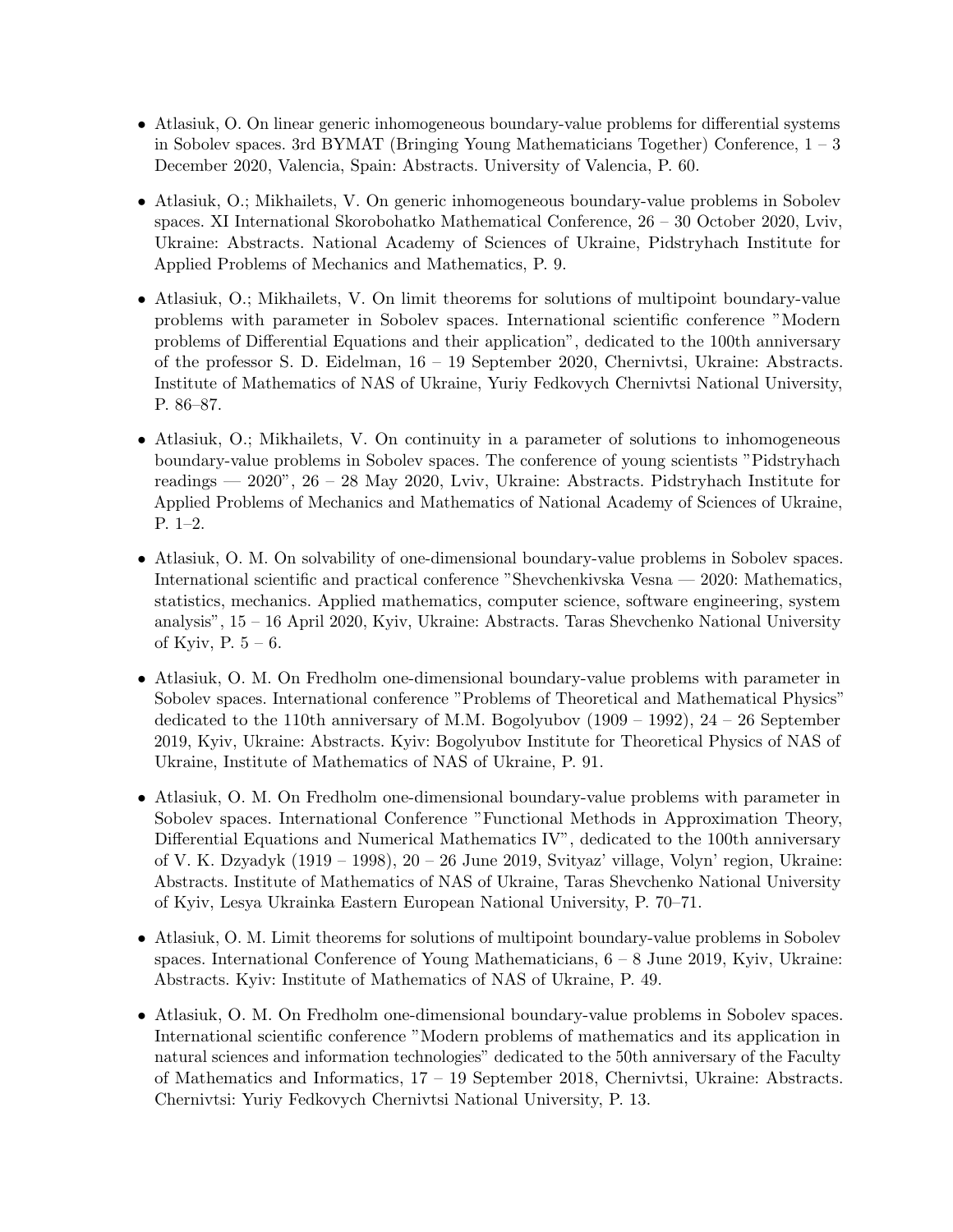- Atlasiuk, O. On linear generic inhomogeneous boundary-value problems for differential systems in Sobolev spaces. 3rd BYMAT (Bringing Young Mathematicians Together) Conference, 1 – 3 December 2020, Valencia, Spain: Abstracts. University of Valencia, P. 60.
- Atlasiuk, O.; Mikhailets, V. On generic inhomogeneous boundary-value problems in Sobolev spaces. XI International Skorobohatko Mathematical Conference, 26 – 30 October 2020, Lviv, Ukraine: Abstracts. National Academy of Sciences of Ukraine, Pidstryhach Institute for Applied Problems of Mechanics and Mathematics, P. 9.
- Atlasiuk, O.; Mikhailets, V. On limit theorems for solutions of multipoint boundary-value problems with parameter in Sobolev spaces. International scientific conference "Modern problems of Differential Equations and their application", dedicated to the 100th anniversary of the professor S. D. Eidelman, 16 – 19 September 2020, Chernivtsi, Ukraine: Abstracts. Institute of Mathematics of NAS of Ukraine, Yuriy Fedkovych Chernivtsi National University, P. 86–87.
- Atlasiuk, O.; Mikhailets, V. On continuity in a parameter of solutions to inhomogeneous boundary-value problems in Sobolev spaces. The conference of young scientists "Pidstryhach readings — 2020", 26 – 28 May 2020, Lviv, Ukraine: Abstracts. Pidstryhach Institute for Applied Problems of Mechanics and Mathematics of National Academy of Sciences of Ukraine, P. 1–2.
- Atlasiuk, O. M. On solvability of one-dimensional boundary-value problems in Sobolev spaces. International scientific and practical conference "Shevchenkivska Vesna — 2020: Mathematics, statistics, mechanics. Applied mathematics, computer science, software engineering, system analysis", 15 – 16 April 2020, Kyiv, Ukraine: Abstracts. Taras Shevchenko National University of Kyiv, P.  $5 - 6$ .
- Atlasiuk, O. M. On Fredholm one-dimensional boundary-value problems with parameter in Sobolev spaces. International conference "Problems of Theoretical and Mathematical Physics" dedicated to the 110th anniversary of M.M. Bogolyubov  $(1909 - 1992)$ ,  $24 - 26$  September 2019, Kyiv, Ukraine: Abstracts. Kyiv: Bogolyubov Institute for Theoretical Physics of NAS of Ukraine, Institute of Mathematics of NAS of Ukraine, P. 91.
- Atlasiuk, O. M. On Fredholm one-dimensional boundary-value problems with parameter in Sobolev spaces. International Conference "Functional Methods in Approximation Theory, Differential Equations and Numerical Mathematics IV", dedicated to the 100th anniversary of V. K. Dzyadyk (1919 – 1998), 20 – 26 June 2019, Svityaz' village, Volyn' region, Ukraine: Abstracts. Institute of Mathematics of NAS of Ukraine, Taras Shevchenko National University of Kyiv, Lesya Ukrainka Eastern European National University, P. 70–71.
- Atlasiuk, O. M. Limit theorems for solutions of multipoint boundary-value problems in Sobolev spaces. International Conference of Young Mathematicians,  $6 - 8$  June 2019, Kyiv, Ukraine: Abstracts. Kyiv: Institute of Mathematics of NAS of Ukraine, P. 49.
- Atlasiuk, O. M. On Fredholm one-dimensional boundary-value problems in Sobolev spaces. International scientific conference "Modern problems of mathematics and its application in natural sciences and information technologies" dedicated to the 50th anniversary of the Faculty of Mathematics and Informatics, 17 – 19 September 2018, Chernivtsi, Ukraine: Abstracts. Chernivtsi: Yuriy Fedkovych Chernivtsi National University, P. 13.